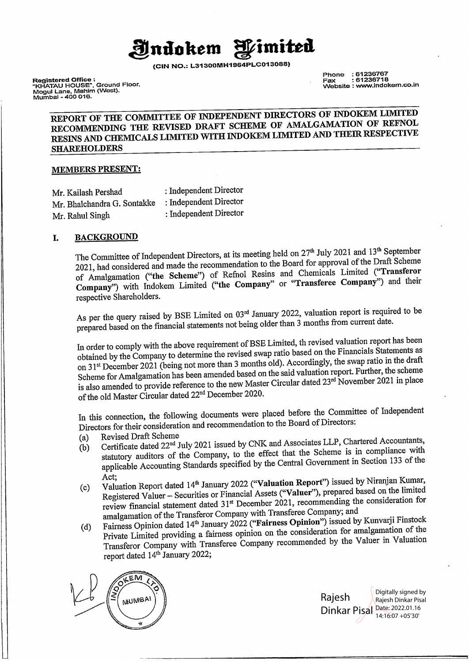**Indokem** *Pimited* 

**(CIN NO.: L31300MH1964PLC013088)** 

**Registered Office :**  "KHATAU HOUSE", Ground Floor. Mogul Lane, Mahim (West), Mumbai - 400 016.

Phone : 61236767 Fax : 61236718 Website : www.indokem.co.in

## **REPORT OF THE COMMITTEE OF JNDEPENDENT DIRECTORS OF JNDOKEM LIMITED RECOMMENDING THE REVISED DRAFT SCHEME OF AMALGAMATION OF REFNOL RESINS AND CHEMICALS LIMITED WITH JNDOKEM LIMITED AND THEIR RESPECTIVE SHAREHOLDERS**

### **MEMBERS PRESENT:**

| Mr. Kailash Pershad         | : Independent Director |
|-----------------------------|------------------------|
| Mr. Bhalchandra G. Sontakke | : Independent Director |
| Mr. Rahul Singh             | : Independent Director |

### I. **BACKGROUND**

The Committee of Independent Directors, at its meeting held on 27<sup>th</sup> July 2021 and 13<sup>th</sup> September 2021, had considered and made the recommendation to the Board for approval of the Draft Scheme of Amalgamation **("the Scheme")** of Refnol Resins and Chemicals Limited **("Transferor Company")** with Indokem Limited **("the Company"** or **"Transferee Company")** and their respective Shareholders.

As per the query raised by BSE Limited on 03<sup>rd</sup> January 2022, valuation report is required to be prepared based on the financial statements not being older than 3 months from current date.

In order to comply with the above requirement of BSE Limited, th revised valuation report has been obtained by the Company to determine the revised swap ratio based on the Financials Statements as on 31<sup>st</sup> December 2021 (being not more than 3 months old). Accordingly, the swap ratio in the draft Scheme for Amalgamation has been amended based on the said valuation report. Further, the scheme Scheme for Amalgamation has been amended cased on the same of the November 2021 in place<br>is also amended to provide reference to the new Master Circular dated 23<sup>rd</sup> November 2021 in place of the old Master Circular dated 22 nd December 2020.

In this connection, the following documents were placed before the Committee of Independent Directors for their consideration and recommendation to the Board of Directors:

- (a) Revised Draft Scheme
- (b) Certificate dated 22<sup>nd</sup> July 2021 issued by CNK and Associates LLP, Chartered Accountants, statutory auditors of the Company, to the effect that the Scheme is in compliance with applicable Accounting Standards specified by the Central Government in Section 133 of the
- Act;<br>(c) Valuation Report dated 14<sup>th</sup> January 2022 ("Valuation Report") issued by Niranjan Kumar, Registered Valuer - Securities or Financial Assets ("Valuer"), prepared based on the limited review financial statement dated 31 st December 2021, recommending the consideration for amalgamation of the Transferor Company with Transferee Company; and
- (d) Fairness Opinion dated 14th January 2022 **("Fairness Opinion")** issued by Kunvarji Finstock Private Limited providing a fairness opinion on the consideration for amalgamation of the Transferor Company with Transferee Company recommended by the Valuer in Valuation report dated 14<sup>th</sup> January 2022;



Rajesh Dinkar Pisal Date: 2022.01.16 Digitally signed by Rajesh Dinkar Pisal 14:16:07 +05'30'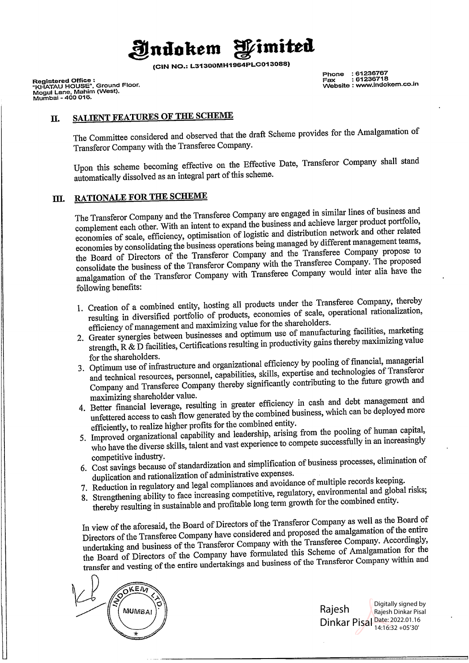

**(CIN NO.: L31300MH1964PLC013088)** 

**Registered Office : "KHATAU HOUSE", Ground Floor. Mogul** Lane, **Mahim (West). Mumbai - 400 016.** 

**Phone : 61236767 Fax : 61236718 Website : www.indokem.co.in** 

## II. **SALIENT FEATURES OF THE SCHEME**

The Committee considered and observed that the draft Scheme provides for the Amalgamation of Transferor Company with the Transferee Company.

Upon this scheme becoming effective on the Effective Date, Transferor Company shall stand automatically dissolved as an integral part of this scheme.

## ID. **RATIONALE FOR THE SCHEME**

The Transferor Company and the Transferee Company are engaged in similar lines of business and complement each other. With an intent to expand the business and achieve larger product portfolio, economies of scale, efficiency, optimisation of logistic and distribution network and other related economies by consolidating the business operations being managed by different management teams, the Board of Directors of the Transferor Company and the Transferee Company propose to consolidate the business of the Transferor Company with the Transferee Company. The proposed amalgamation of the Transferor Company with Transferee Company would inter alia have the following benefits:

- 1. Creation of a combined entity, hosting all products under the Transferee Company, thereby resulting in diversified portfolio of products, economies of scale, operational rationalization, efficiency of management and maximizing value for the shareholders.
- 2. Greater synergies between businesses and optimum use of manufacturing facilities, marketing strength, R & D facilities, Certifications resulting in productivity gains thereby maximizing value for the shareholders.
- <sup>10</sup> for the shareholders.<br>3. Optimum use of infrastructure and organizational efficiency by pooling of financial, managerial and technical resources, personnel, capabilities, skills, expertise and technologies of Transferor Company and Transferee Company thereby significantly contributing to the future growth and maximizing shareholder value.
- 4. Better financial leverage, resulting in greater efficiency in cash and debt management and unfettered access to cash flow generated by the combined business, which can be deployed more efficiently, to realize higher profits for the combined entity.
- 5. Improved organizational capability and leadership, arising from the pooling of human capital, who have the diverse skills, talent and vast experience to compete successfully in an increasingly competitive industry.
- 6. Cost savings because of standardization and simplification of business processes, elimination of duplication and rationalization of administrative expenses.
- 7. Reduction in regulatory and legal compliances and avoidance of multiple records keeping.
- 8. Strengthening ability to face increasing competitive, regulatory, environmental and global risks; thereby resulting in sustainable and profitable long term growth for the combined entity.

In view of the aforesaid, the Board of Directors of the Transferor Company as well as the Board of Directors of the Transferee Company have considered and proposed the amalgamation of the entire undertaking and business of the Transferor Company with the Transferee Company. Accordingly, the Board of Directors of the Company have formulated this Scheme of Amalgamation for the the Board of Directors of the Company naveled and business of the Transferor Company within and<br>transfer and vesting of the entire undertakings and business of the Transferor Company within and



Rajesh Dinkar Pisal Date: 2022.01.16 Digitally signed by Rajesh Dinkar Pisal 14:16:32 +05'30'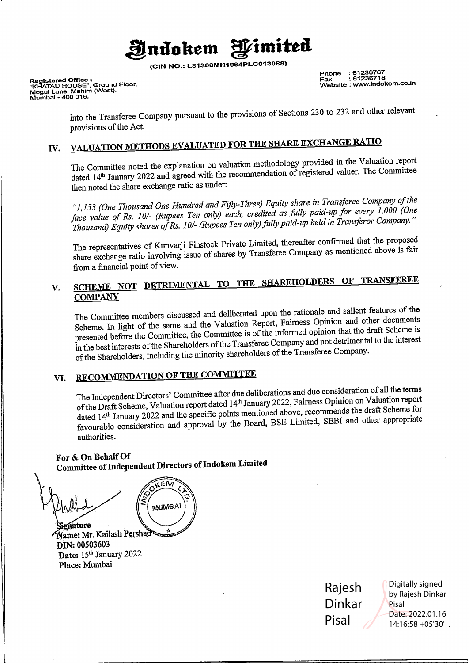

**(CIN NO.: L31300MH1964PLC013088)** 

**Registered Office : "KHATAU HOUSE", Ground** Floor. **Mogul** Lane, **Mahim (West), Mumbai - 400 016.** 

**Phone : 61236767 Fax : 61236718 Website : www.indokem.co.in** 

into the Transferee Company pursuant to the provisions of Sections 230 to 232 and other relevant provisions of the Act.

# IV. **VALUATION METHODS EVALUATED FOR THE SHARE EXCHANGE RATIO**

The Committee noted the explanation on valuation methodology provided in the Valuation report dated 14<sup>th</sup> January 2022 and agreed with the recommendation of registered valuer. The Committee then noted the share exchange ratio as under:

*"1,153 (One Thousand One Hundred and Fifty-Three) Equity share in Transferee Company of the face value of Rs. JOI- (Rupees Ten only) each, credited as fully paid-up for every 1,000 (One Thousand) Equity shares of Rs. I 01- (Rupees Ten only) fully paid-up held in Transferor Company. "* 

The representatives of Kunvarji Finstock Private Limited, thereafter confirmed that the proposed share exchange ratio involving issue of shares by Transferee Company as mentioned above is fair from a financial point of view.

## **V. SCHEME NOT DETRIMENTAL TO THE SHAREHOLDERS OF TRANSFEREE COMPANY**

The Committee members discussed and deliberated upon the rationale and salient features of the Scheme. In light of the same and the Valuation Report, Fairness Opinion and other documents presented before the Committee, the Committee is of the informed opinion that the draft Scheme is in the best interests of the Shareholders of the Transferee Company and not detrimental to the interest of the Shareholders, including the minority shareholders of the Transferee Company.

# **VI. RECOMMENDATION OF THE COMMITTEE**

The Independent Directors' Committee after due deliberations and due consideration of all the terms I ne independent Directors' Committee also and the January 2022, Fairness Opinion on Valuation report dated 14<sup>th</sup> January 2022 and the specific points mentioned above, recommends the draft Scheme for favourable consideration and approval by the Board, BSE Limited, SEBI and other appropriate authorities.

### **For** & **On Behalf Of Committee of Independent Directors oflndokem Limited**

άEΜ **MAUIMBAI** ionature Name: Mr. Kailash Pershad<sup>a</sup> DIN: 00503603 Date: 15th January 2022

Place: Mumbai

Rajesh Dinkar Pisal

Digitally signed by Rajesh Dinkar Pisal Date: 2022.01.16 14:16:58 +05'30'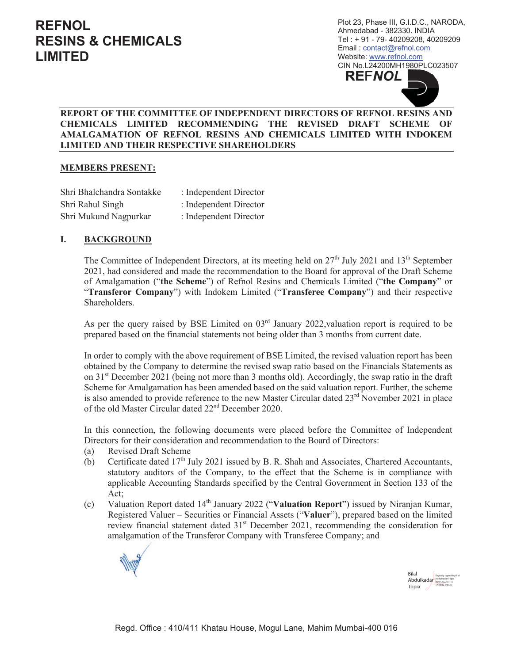Plot 23, Phase III, G.I.D.C., NARODA, Ahmedabad - 382330. INDIA Tel: +91 - 79-40209208, 40209209 Email: contact@refnol.com Website: www.refnol.com CIN No.L24200MH1980PLC023507 **REFNOL** 

### REPORT OF THE COMMITTEE OF INDEPENDENT DIRECTORS OF REFNOL RESINS AND CHEMICALS LIMITED RECOMMENDING THE REVISED DRAFT SCHEME OF AMALGAMATION OF REFNOL RESINS AND CHEMICALS LIMITED WITH INDOKEM **LIMITED AND THEIR RESPECTIVE SHAREHOLDERS**

### **MEMBERS PRESENT:**

Shri Bhalchandra Sontakke : Independent Director Shri Rahul Singh : Independent Director Shri Mukund Nagpurkar : Independent Director

#### I. **BACKGROUND**

The Committee of Independent Directors, at its meeting held on 27<sup>th</sup> July 2021 and 13<sup>th</sup> September 2021, had considered and made the recommendation to the Board for approval of the Draft Scheme of Amalgamation ("the Scheme") of Refinol Resins and Chemicals Limited ("the Company" or "Transferor Company") with Indokem Limited ("Transferee Company") and their respective Shareholders.

As per the query raised by BSE Limited on  $03<sup>rd</sup>$  January 2022, valuation report is required to be prepared based on the financial statements not being older than 3 months from current date.

In order to comply with the above requirement of BSE Limited, the revised valuation report has been obtained by the Company to determine the revised swap ratio based on the Financials Statements as on  $31<sup>st</sup>$  December 2021 (being not more than 3 months old). Accordingly, the swap ratio in the draft Scheme for Amalgamation has been amended based on the said valuation report. Further, the scheme is also amended to provide reference to the new Master Circular dated 23<sup>rd</sup> November 2021 in place of the old Master Circular dated 22<sup>nd</sup> December 2020.

In this connection, the following documents were placed before the Committee of Independent Directors for their consideration and recommendation to the Board of Directors:

- **Revised Draft Scheme**  $(a)$
- Certificate dated 17<sup>th</sup> July 2021 issued by B. R. Shah and Associates, Chartered Accountants,  $(b)$ statutory auditors of the Company, to the effect that the Scheme is in compliance with applicable Accounting Standards specified by the Central Government in Section 133 of the Act:
- Valuation Report dated 14<sup>th</sup> January 2022 ("Valuation Report") issued by Niranjan Kumar,  $(c)$ Registered Valuer – Securities or Financial Assets ("Valuer"), prepared based on the limited review financial statement dated 31<sup>st</sup> December 2021, recommending the consideration for amalgamation of the Transferor Company with Transferee Company; and



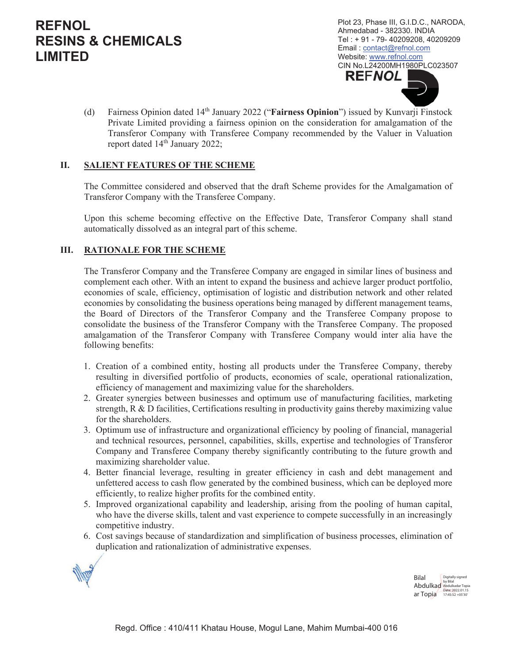Plot 23, Phase III, G.I.D.C., NARODA, Ahmedabad - 382330. INDIA Tel: +91 - 79-40209208, 40209209 Email: contact@refnol.com Website: www.refnol.com CIN No.L24200MH1980PLC023507 **REFNOL** 

Fairness Opinion dated 14<sup>th</sup> January 2022 ("Fairness Opinion") issued by Kunvarji Finstock  $(d)$ Private Limited providing a fairness opinion on the consideration for amalgamation of the Transferor Company with Transferee Company recommended by the Valuer in Valuation report dated 14<sup>th</sup> January 2022;

#### II. **SALIENT FEATURES OF THE SCHEME**

The Committee considered and observed that the draft Scheme provides for the Amalgamation of Transferor Company with the Transferee Company.

Upon this scheme becoming effective on the Effective Date, Transferor Company shall stand automatically dissolved as an integral part of this scheme.

#### Ш. **RATIONALE FOR THE SCHEME**

The Transferor Company and the Transferee Company are engaged in similar lines of business and complement each other. With an intent to expand the business and achieve larger product portfolio, economies of scale, efficiency, optimisation of logistic and distribution network and other related economies by consolidating the business operations being managed by different management teams, the Board of Directors of the Transferor Company and the Transferee Company propose to consolidate the business of the Transferor Company with the Transferee Company. The proposed amalgamation of the Transferor Company with Transferee Company would inter alia have the following benefits:

- 1. Creation of a combined entity, hosting all products under the Transferee Company, thereby resulting in diversified portfolio of products, economies of scale, operational rationalization, efficiency of management and maximizing value for the shareholders.
- 2. Greater synergies between businesses and optimum use of manufacturing facilities, marketing strength,  $R \& D$  facilities, Certifications resulting in productivity gains thereby maximizing value for the shareholders.
- 3. Optimum use of infrastructure and organizational efficiency by pooling of financial, managerial and technical resources, personnel, capabilities, skills, expertise and technologies of Transferor Company and Transferee Company thereby significantly contributing to the future growth and maximizing shareholder value.
- 4. Better financial leverage, resulting in greater efficiency in cash and debt management and unfettered access to cash flow generated by the combined business, which can be deployed more efficiently, to realize higher profits for the combined entity.
- 5. Improved organizational capability and leadership, arising from the pooling of human capital, who have the diverse skills, talent and vast experience to compete successfully in an increasingly competitive industry.
- 6. Cost savings because of standardization and simplification of business processes, elimination of duplication and rationalization of administrative expenses.



**Bilal** Abdulkad Abdulkadar Topia Date: 2022.01.15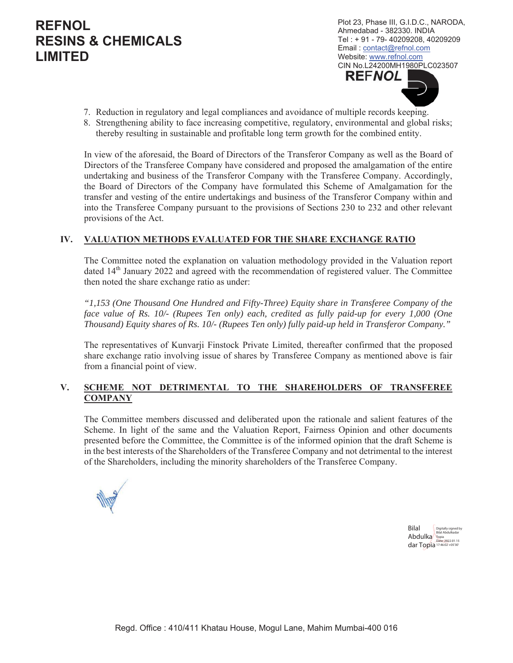Plot 23, Phase III, G.I.D.C., NARODA, Ahmedabad - 382330. INDIA Tel: +91 - 79-40209208, 40209209 Email: contact@refnol.com Website: www.refnol.com CIN No.L24200MH1980PLC023507 **REFNOL** 

- 7. Reduction in regulatory and legal compliances and avoidance of multiple records keeping.
- 8. Strengthening ability to face increasing competitive, regulatory, environmental and global risks; thereby resulting in sustainable and profitable long term growth for the combined entity.

In view of the aforesaid, the Board of Directors of the Transferor Company as well as the Board of Directors of the Transferee Company have considered and proposed the amalgamation of the entire undertaking and business of the Transferor Company with the Transferee Company. Accordingly, the Board of Directors of the Company have formulated this Scheme of Amalgamation for the transfer and vesting of the entire undertakings and business of the Transferor Company within and into the Transferee Company pursuant to the provisions of Sections 230 to 232 and other relevant provisions of the Act.

### IV. VALUATION METHODS EVALUATED FOR THE SHARE EXCHANGE RATIO

The Committee noted the explanation on valuation methodology provided in the Valuation report dated 14<sup>th</sup> January 2022 and agreed with the recommendation of registered valuer. The Committee then noted the share exchange ratio as under:

"1,153 (One Thousand One Hundred and Fifty-Three) Equity share in Transferee Company of the face value of Rs. 10/- (Rupees Ten only) each, credited as fully paid-up for every 1,000 (One Thousand) Equity shares of Rs. 10/- (Rupees Ten only) fully paid-up held in Transferor Company."

The representatives of Kunvarji Finstock Private Limited, thereafter confirmed that the proposed share exchange ratio involving issue of shares by Transferee Company as mentioned above is fair from a financial point of view.

#### $V_{\star}$ SCHEME NOT DETRIMENTAL TO THE SHAREHOLDERS OF TRANSFEREE **COMPANY**

The Committee members discussed and deliberated upon the rationale and salient features of the Scheme. In light of the same and the Valuation Report, Fairness Opinion and other documents presented before the Committee, the Committee is of the informed opinion that the draft Scheme is in the best interests of the Shareholders of the Transferee Company and not detrimental to the interest of the Shareholders, including the minority shareholders of the Transferee Company.



**Bilal** Abdulka Topia dar Topia 17:46:02 +05'30'